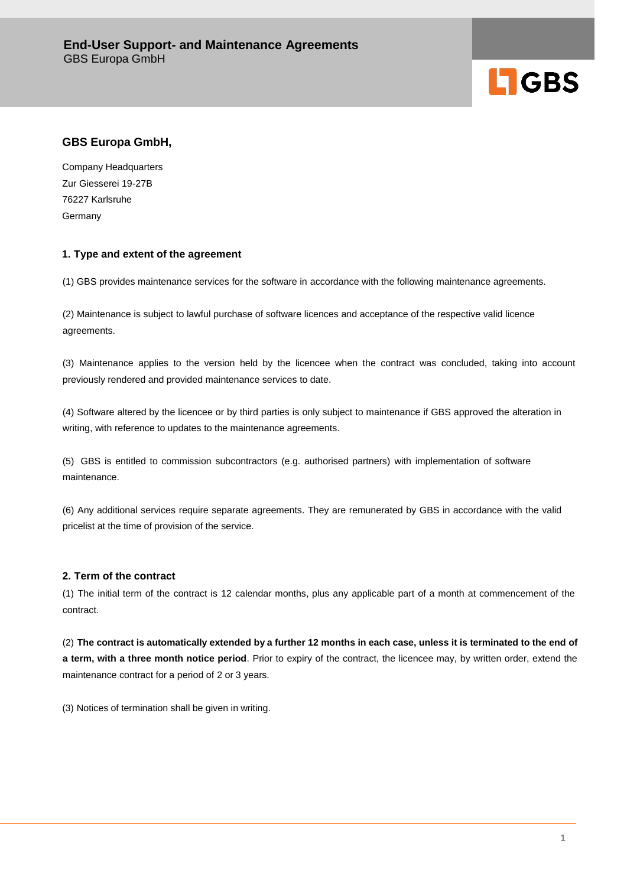

# **GBS Europa GmbH,**

Company Headquarters Zur Giesserei 19-27B 76227 Karlsruhe **Germany** 

# **1. Type and extent of the agreement**

(1) GBS provides maintenance services for the software in accordance with the following maintenance agreements.

(2) Maintenance is subject to lawful purchase of software licences and acceptance of the respective valid licence agreements.

(3) Maintenance applies to the version held by the licencee when the contract was concluded, taking into account previously rendered and provided maintenance services to date.

(4) Software altered by the licencee or by third parties is only subject to maintenance if GBS approved the alteration in writing, with reference to updates to the maintenance agreements.

(5) GBS is entitled to commission subcontractors (e.g. authorised partners) with implementation of software maintenance.

(6) Any additional services require separate agreements. They are remunerated by GBS in accordance with the valid pricelist at the time of provision of the service.

# **2. Term of the contract**

(1) The initial term of the contract is 12 calendar months, plus any applicable part of a month at commencement of the contract.

(2) **The contract is automatically extended by a further 12 months in each case, unless it is terminated to the end of a term, with a three month notice period**. Prior to expiry of the contract, the licencee may, by written order, extend the maintenance contract for a period of 2 or 3 years.

(3) Notices of termination shall be given in writing.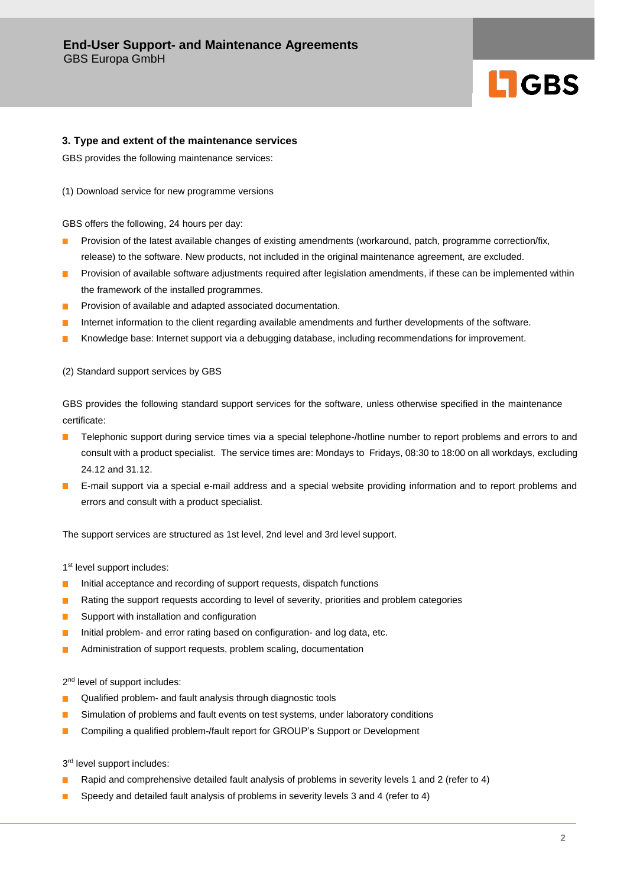# **LIGBS**

#### **3. Type and extent of the maintenance services**

GBS provides the following maintenance services:

(1) Download service for new programme versions

GBS offers the following, 24 hours per day:

- Provision of the latest available changes of existing amendments (workaround, patch, programme correction/fix, П release) to the software. New products, not included in the original maintenance agreement, are excluded.
- m. Provision of available software adjustments required after legislation amendments, if these can be implemented within the framework of the installed programmes.
- $\mathbb{R}^n$ Provision of available and adapted associated documentation.
- Internet information to the client regarding available amendments and further developments of the software.  $\mathcal{L}_{\mathcal{A}}$
- Knowledge base: Internet support via a debugging database, including recommendations for improvement. T.

(2) Standard support services by GBS

GBS provides the following standard support services for the software, unless otherwise specified in the maintenance certificate:

- Telephonic support during service times via a special telephone-/hotline number to report problems and errors to and consult with a product specialist. The service times are: Mondays to Fridays, 08:30 to 18:00 on all workdays, excluding 24.12 and 31.12.
- **E**-mail support via a special e-mail address and a special website providing information and to report problems and errors and consult with a product specialist.

The support services are structured as 1st level, 2nd level and 3rd level support.

1<sup>st</sup> level support includes:

- Initial acceptance and recording of support requests, dispatch functions  $\mathcal{L}_{\text{max}}$
- $\blacksquare$ Rating the support requests according to level of severity, priorities and problem categories
- $\Box$ Support with installation and configuration
- Initial problem- and error rating based on configuration- and log data, etc. **The Co**
- Administration of support requests, problem scaling, documentation  $\Box$

2<sup>nd</sup> level of support includes:

- Qualified problem- and fault analysis through diagnostic tools  $\mathcal{L}_{\mathcal{A}}$
- П Simulation of problems and fault events on test systems, under laboratory conditions
- $\overline{\phantom{a}}$ Compiling a qualified problem-/fault report for GROUP's Support or Development

3<sup>rd</sup> level support includes:

- Rapid and comprehensive detailed fault analysis of problems in severity levels 1 and 2 (refer to 4)  $\blacksquare$
- $\blacksquare$ Speedy and detailed fault analysis of problems in severity levels 3 and 4 (refer to 4)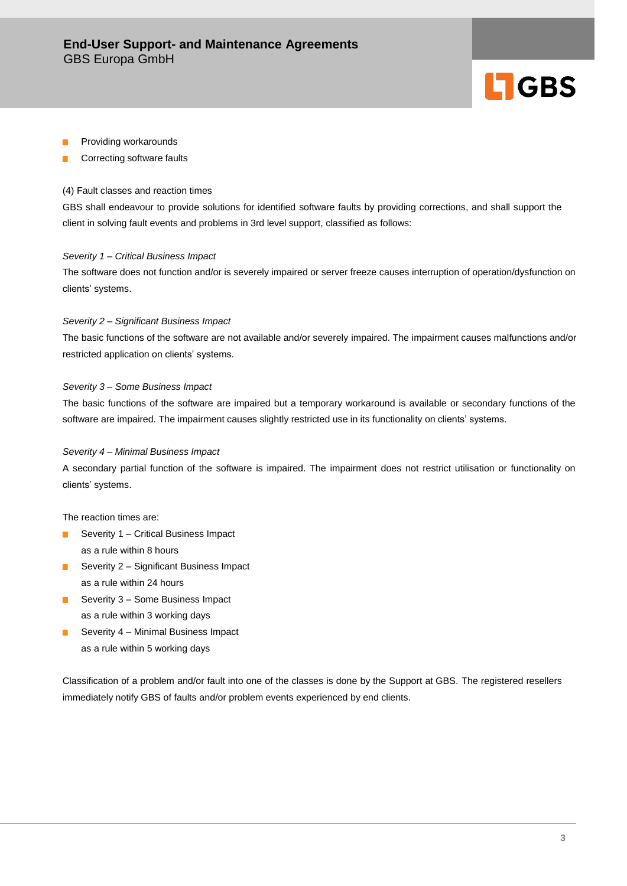

- Providing workarounds
- F Correcting software faults

#### (4) Fault classes and reaction times

GBS shall endeavour to provide solutions for identified software faults by providing corrections, and shall support the client in solving fault events and problems in 3rd level support, classified as follows:

#### *Severity 1 – Critical Business Impact*

The software does not function and/or is severely impaired or server freeze causes interruption of operation/dysfunction on clients' systems.

#### *Severity 2 – Significant Business Impact*

The basic functions of the software are not available and/or severely impaired. The impairment causes malfunctions and/or restricted application on clients' systems.

#### *Severity 3 – Some Business Impact*

The basic functions of the software are impaired but a temporary workaround is available or secondary functions of the software are impaired. The impairment causes slightly restricted use in its functionality on clients' systems.

#### *Severity 4 – Minimal Business Impact*

A secondary partial function of the software is impaired. The impairment does not restrict utilisation or functionality on clients' systems.

The reaction times are:

- Severity  $1 -$  Critical Business Impact as a rule within 8 hours
- Severity 2 Significant Business Impact **The Contract of the Contract of the Contract of the Contract of the Contract of the Contract of the Contract o** as a rule within 24 hours
- Severity 3 Some Business Impact **The Contract** as a rule within 3 working days
- $\mathbf{r}$ Severity 4 – Minimal Business Impact as a rule within 5 working days

Classification of a problem and/or fault into one of the classes is done by the Support at GBS. The registered resellers immediately notify GBS of faults and/or problem events experienced by end clients.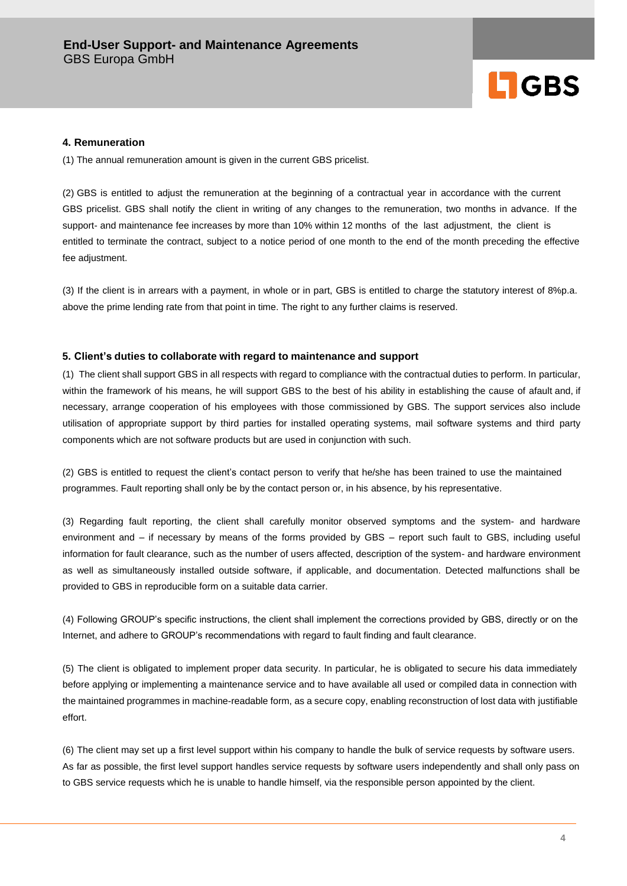

# **4. Remuneration**

(1) The annual remuneration amount is given in the current GBS pricelist.

(2) GBS is entitled to adjust the remuneration at the beginning of a contractual year in accordance with the current GBS pricelist. GBS shall notify the client in writing of any changes to the remuneration, two months in advance. If the support- and maintenance fee increases by more than 10% within 12 months of the last adjustment, the client is entitled to terminate the contract, subject to a notice period of one month to the end of the month preceding the effective fee adjustment.

(3) If the client is in arrears with a payment, in whole or in part, GBS is entitled to charge the statutory interest of 8%p.a. above the prime lending rate from that point in time. The right to any further claims is reserved.

#### **5. Client's duties to collaborate with regard to maintenance and support**

(1) The client shall support GBS in all respects with regard to compliance with the contractual duties to perform. In particular, within the framework of his means, he will support GBS to the best of his ability in establishing the cause of afault and, if necessary, arrange cooperation of his employees with those commissioned by GBS. The support services also include utilisation of appropriate support by third parties for installed operating systems, mail software systems and third party components which are not software products but are used in conjunction with such.

(2) GBS is entitled to request the client's contact person to verify that he/she has been trained to use the maintained programmes. Fault reporting shall only be by the contact person or, in his absence, by his representative.

(3) Regarding fault reporting, the client shall carefully monitor observed symptoms and the system- and hardware environment and – if necessary by means of the forms provided by GBS – report such fault to GBS, including useful information for fault clearance, such as the number of users affected, description of the system- and hardware environment as well as simultaneously installed outside software, if applicable, and documentation. Detected malfunctions shall be provided to GBS in reproducible form on a suitable data carrier.

(4) Following GROUP's specific instructions, the client shall implement the corrections provided by GBS, directly or on the Internet, and adhere to GROUP's recommendations with regard to fault finding and fault clearance.

(5) The client is obligated to implement proper data security. In particular, he is obligated to secure his data immediately before applying or implementing a maintenance service and to have available all used or compiled data in connection with the maintained programmes in machine-readable form, as a secure copy, enabling reconstruction of lost data with justifiable effort.

(6) The client may set up a first level support within his company to handle the bulk of service requests by software users. As far as possible, the first level support handles service requests by software users independently and shall only pass on to GBS service requests which he is unable to handle himself, via the responsible person appointed by the client.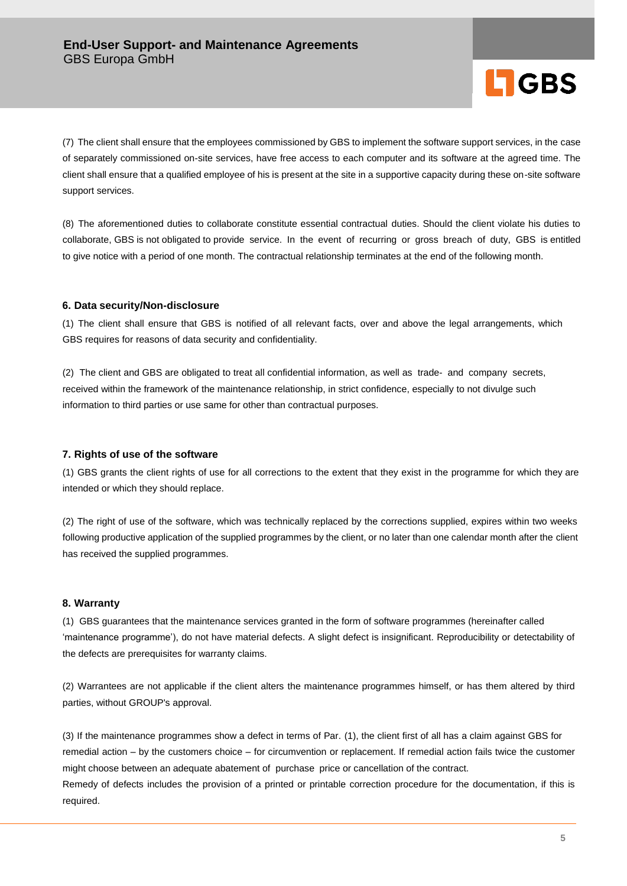

(7) The client shall ensure that the employees commissioned by GBS to implement the software support services, in the case of separately commissioned on-site services, have free access to each computer and its software at the agreed time. The client shall ensure that a qualified employee of his is present at the site in a supportive capacity during these on-site software support services.

(8) The aforementioned duties to collaborate constitute essential contractual duties. Should the client violate his duties to collaborate, GBS is not obligated to provide service. In the event of recurring or gross breach of duty, GBS is entitled to give notice with a period of one month. The contractual relationship terminates at the end of the following month.

# **6. Data security/Non-disclosure**

(1) The client shall ensure that GBS is notified of all relevant facts, over and above the legal arrangements, which GBS requires for reasons of data security and confidentiality.

(2) The client and GBS are obligated to treat all confidential information, as well as trade- and company secrets, received within the framework of the maintenance relationship, in strict confidence, especially to not divulge such information to third parties or use same for other than contractual purposes.

# **7. Rights of use of the software**

(1) GBS grants the client rights of use for all corrections to the extent that they exist in the programme for which they are intended or which they should replace.

(2) The right of use of the software, which was technically replaced by the corrections supplied, expires within two weeks following productive application of the supplied programmes by the client, or no later than one calendar month after the client has received the supplied programmes.

# **8. Warranty**

(1) GBS guarantees that the maintenance services granted in the form of software programmes (hereinafter called 'maintenance programme'), do not have material defects. A slight defect is insignificant. Reproducibility or detectability of the defects are prerequisites for warranty claims.

(2) Warrantees are not applicable if the client alters the maintenance programmes himself, or has them altered by third parties, without GROUP's approval.

(3) If the maintenance programmes show a defect in terms of Par. (1), the client first of all has a claim against GBS for remedial action – by the customers choice – for circumvention or replacement. If remedial action fails twice the customer might choose between an adequate abatement of purchase price or cancellation of the contract.

Remedy of defects includes the provision of a printed or printable correction procedure for the documentation, if this is required.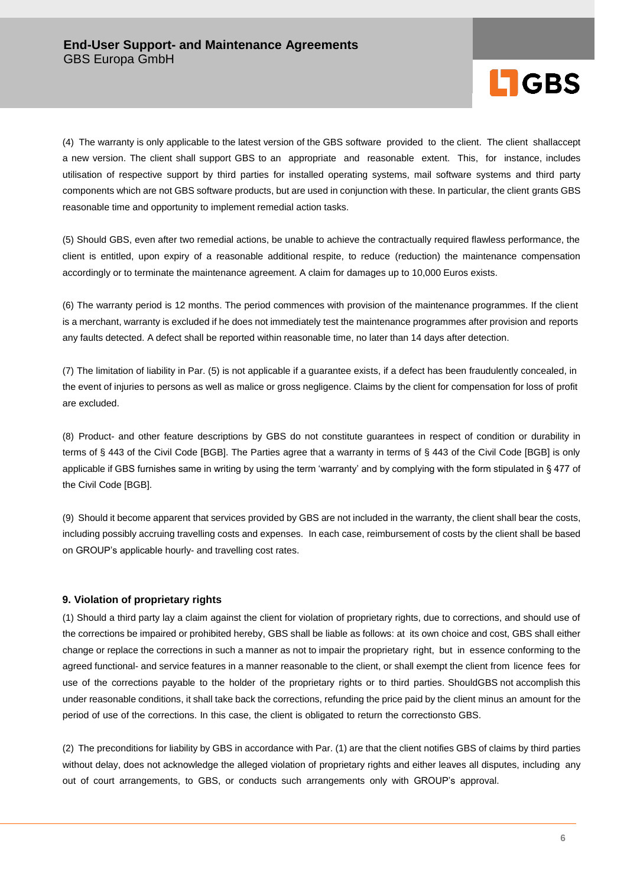

(4) The warranty is only applicable to the latest version of the GBS software provided to the client. The client shallaccept a new version. The client shall support GBS to an appropriate and reasonable extent. This, for instance, includes utilisation of respective support by third parties for installed operating systems, mail software systems and third party components which are not GBS software products, but are used in conjunction with these. In particular, the client grants GBS reasonable time and opportunity to implement remedial action tasks.

(5) Should GBS, even after two remedial actions, be unable to achieve the contractually required flawless performance, the client is entitled, upon expiry of a reasonable additional respite, to reduce (reduction) the maintenance compensation accordingly or to terminate the maintenance agreement. A claim for damages up to 10,000 Euros exists.

(6) The warranty period is 12 months. The period commences with provision of the maintenance programmes. If the client is a merchant, warranty is excluded if he does not immediately test the maintenance programmes after provision and reports any faults detected. A defect shall be reported within reasonable time, no later than 14 days after detection.

(7) The limitation of liability in Par. (5) is not applicable if a guarantee exists, if a defect has been fraudulently concealed, in the event of injuries to persons as well as malice or gross negligence. Claims by the client for compensation for loss of profit are excluded.

(8) Product- and other feature descriptions by GBS do not constitute guarantees in respect of condition or durability in terms of § 443 of the Civil Code [BGB]. The Parties agree that a warranty in terms of § 443 of the Civil Code [BGB] is only applicable if GBS furnishes same in writing by using the term 'warranty' and by complying with the form stipulated in § 477 of the Civil Code [BGB].

(9) Should it become apparent that services provided by GBS are not included in the warranty, the client shall bear the costs, including possibly accruing travelling costs and expenses. In each case, reimbursement of costs by the client shall be based on GROUP's applicable hourly- and travelling cost rates.

# **9. Violation of proprietary rights**

(1) Should a third party lay a claim against the client for violation of proprietary rights, due to corrections, and should use of the corrections be impaired or prohibited hereby, GBS shall be liable as follows: at its own choice and cost, GBS shall either change or replace the corrections in such a manner as not to impair the proprietary right, but in essence conforming to the agreed functional- and service features in a manner reasonable to the client, or shall exempt the client from licence fees for use of the corrections payable to the holder of the proprietary rights or to third parties. ShouldGBS not accomplish this under reasonable conditions, it shall take back the corrections, refunding the price paid by the client minus an amount for the period of use of the corrections. In this case, the client is obligated to return the correctionsto GBS.

(2) The preconditions for liability by GBS in accordance with Par. (1) are that the client notifies GBS of claims by third parties without delay, does not acknowledge the alleged violation of proprietary rights and either leaves all disputes, including any out of court arrangements, to GBS, or conducts such arrangements only with GROUP's approval.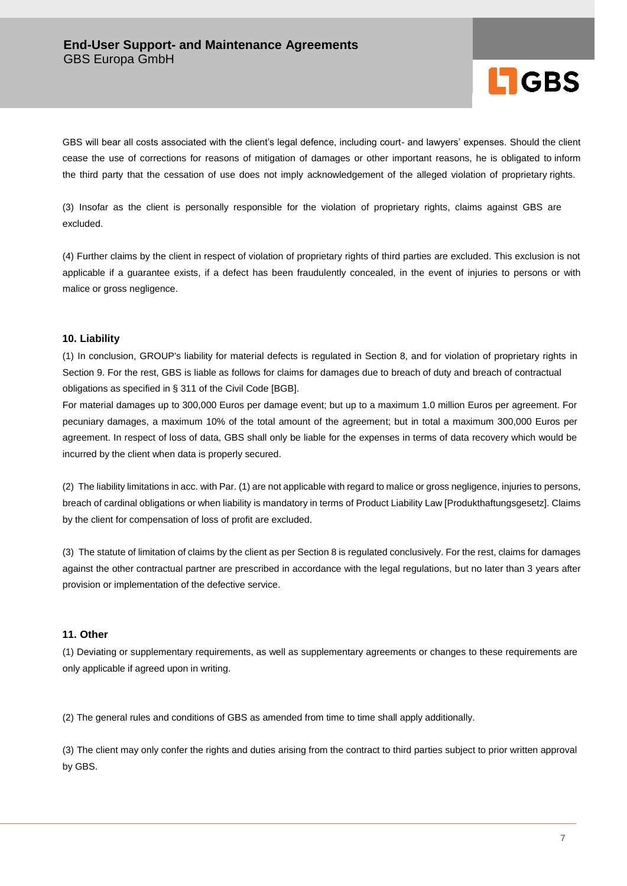

GBS will bear all costs associated with the client's legal defence, including court- and lawyers' expenses. Should the client cease the use of corrections for reasons of mitigation of damages or other important reasons, he is obligated to inform the third party that the cessation of use does not imply acknowledgement of the alleged violation of proprietary rights.

(3) Insofar as the client is personally responsible for the violation of proprietary rights, claims against GBS are excluded.

(4) Further claims by the client in respect of violation of proprietary rights of third parties are excluded. This exclusion is not applicable if a guarantee exists, if a defect has been fraudulently concealed, in the event of injuries to persons or with malice or gross negligence.

# **10. Liability**

(1) In conclusion, GROUP's liability for material defects is regulated in Section 8, and for violation of proprietary rights in Section 9. For the rest, GBS is liable as follows for claims for damages due to breach of duty and breach of contractual obligations as specified in § 311 of the Civil Code [BGB].

For material damages up to 300,000 Euros per damage event; but up to a maximum 1.0 million Euros per agreement. For pecuniary damages, a maximum 10% of the total amount of the agreement; but in total a maximum 300,000 Euros per agreement. In respect of loss of data, GBS shall only be liable for the expenses in terms of data recovery which would be incurred by the client when data is properly secured.

(2) The liability limitations in acc. with Par. (1) are not applicable with regard to malice or gross negligence, injuries to persons, breach of cardinal obligations or when liability is mandatory in terms of Product Liability Law [Produkthaftungsgesetz]. Claims by the client for compensation of loss of profit are excluded.

(3) The statute of limitation of claims by the client as per Section 8 is regulated conclusively. For the rest, claims for damages against the other contractual partner are prescribed in accordance with the legal regulations, but no later than 3 years after provision or implementation of the defective service.

# **11. Other**

(1) Deviating or supplementary requirements, as well as supplementary agreements or changes to these requirements are only applicable if agreed upon in writing.

(2) The general rules and conditions of GBS as amended from time to time shall apply additionally.

(3) The client may only confer the rights and duties arising from the contract to third parties subject to prior written approval by GBS.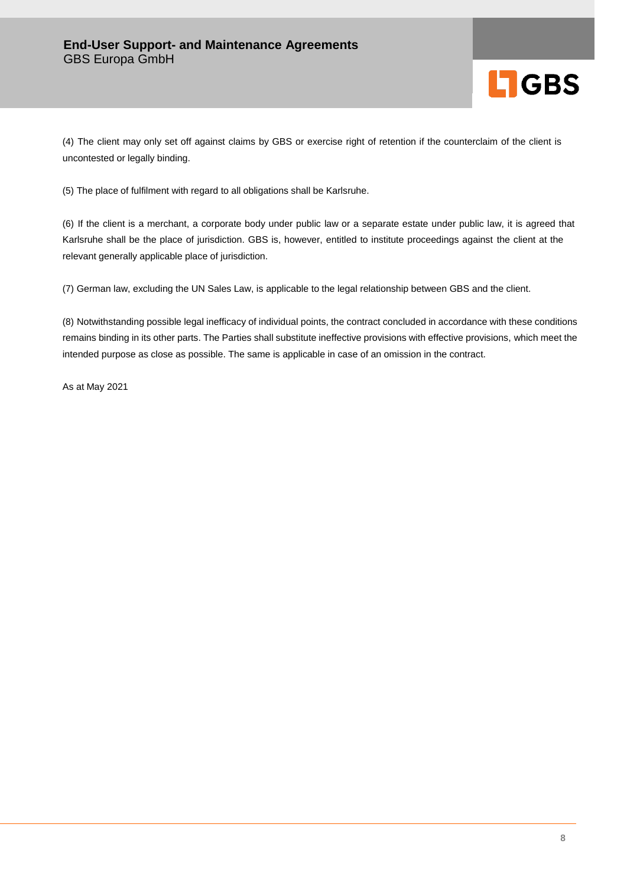

(4) The client may only set off against claims by GBS or exercise right of retention if the counterclaim of the client is uncontested or legally binding.

(5) The place of fulfilment with regard to all obligations shall be Karlsruhe.

(6) If the client is a merchant, a corporate body under public law or a separate estate under public law, it is agreed that Karlsruhe shall be the place of jurisdiction. GBS is, however, entitled to institute proceedings against the client at the relevant generally applicable place of jurisdiction.

(7) German law, excluding the UN Sales Law, is applicable to the legal relationship between GBS and the client.

(8) Notwithstanding possible legal inefficacy of individual points, the contract concluded in accordance with these conditions remains binding in its other parts. The Parties shall substitute ineffective provisions with effective provisions, which meet the intended purpose as close as possible. The same is applicable in case of an omission in the contract.

As at May 2021